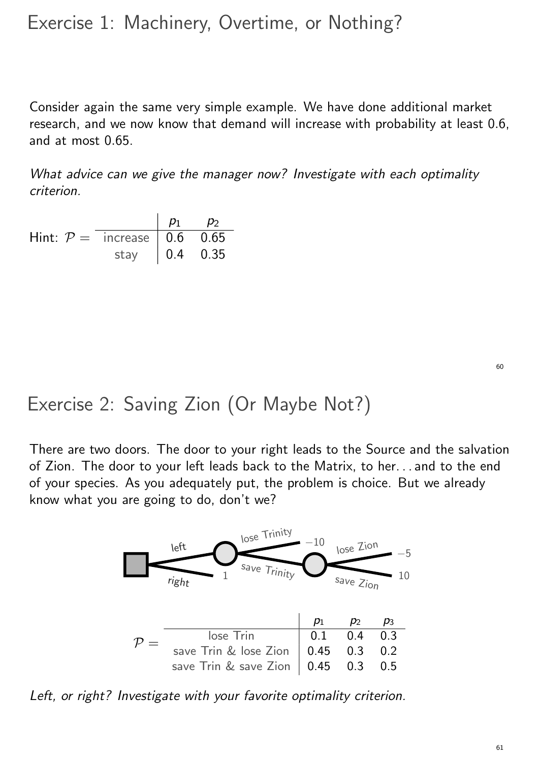## Exercise 1: Machinery, Overtime, or Nothing?

Consider again the same very simple example. We have done additional market research, and we now know that demand will increase with probability at least 0.6, and at most 0.65.

What advice can we give the manager now? Investigate with each optimality criterion.

|                                 |                       | $p_1$ $p_2$ |  |
|---------------------------------|-----------------------|-------------|--|
| Hint: $P =$ increase   0.6 0.65 |                       |             |  |
|                                 | stay $\vert$ 0.4 0.35 |             |  |

60

# Exercise 2: Saving Zion (Or Maybe Not?)

There are two doors. The door to your right leads to the Source and the salvation of Zion. The door to your left leads back to the Matrix, to her. . . and to the end of your species. As you adequately put, the problem is choice. But we already know what you are going to do, don't we?



Left, or right? Investigate with your favorite optimality criterion.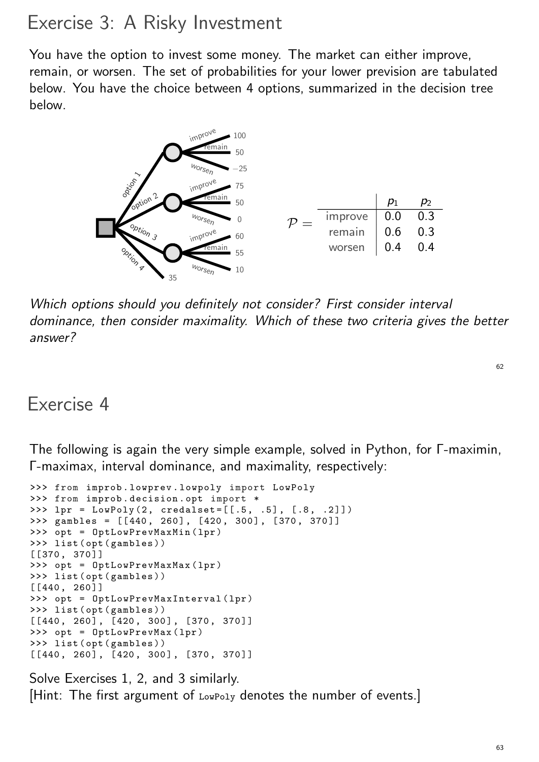## Exercise 3: A Risky Investment

You have the option to invest some money. The market can either improve, remain, or worsen. The set of probabilities for your lower prevision are tabulated below. You have the choice between 4 options, summarized in the decision tree below.



Which options should you definitely not consider? First consider interval dominance, then consider maximality. Which of these two criteria gives the better answer?

```
62
```
#### Exercise 4

The following is again the very simple example, solved in Python, for Γ-maximin, Γ-maximax, interval dominance, and maximality, respectively:

```
>>> from improb . lowprev . lowpoly import LowPoly
>>> from improb . decision . opt import *
>>> lpr = LowPoly (2, credalset =[[.5 , .5], [.8 , .2]])
\gg gambles = [[440, 260], [420, 300], [370, 370]]
>>> opt = OptLowPrevMaxMin (lpr )
>>> list ( opt ( gambles ))
[[370 , 370 ]]
>>> opt = OptLowPrevMaxMax (lpr )
>>> list ( opt ( gambles ))
[[440 , 260 ]]
>>> opt = OptLowPrevMaxInterval ( lpr )
>>> list ( opt ( gambles ))
[[440, 260], [420, 300], [370, 370]]>>> opt = OptLowPrevMax ( lpr )
>>> list ( opt ( gambles ))
[[440, 260], [420, 300], [370, 370]]
```
Solve Exercises 1, 2, and 3 similarly. [Hint: The first argument of LowPoly denotes the number of events.]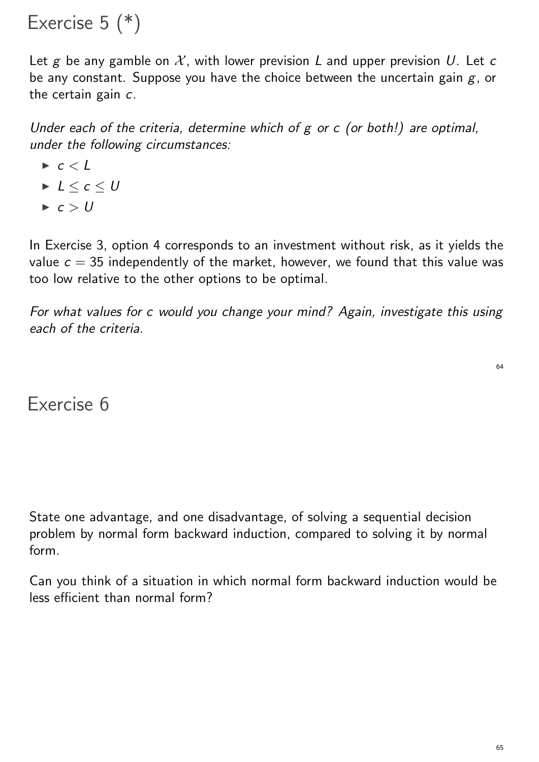Exercise 5 (\*)

Let g be any gamble on  $\mathcal{X}$ , with lower prevision L and upper prevision U. Let c be any constant. Suppose you have the choice between the uncertain gain  $g$ , or the certain gain c.

Under each of the criteria, determine which of  $g$  or  $c$  (or both!) are optimal, under the following circumstances:

- $\blacktriangleright$  c < l
- $L < c < U$
- $\blacktriangleright$  c > U

In Exercise 3, option 4 corresponds to an investment without risk, as it yields the value  $c = 35$  independently of the market, however, we found that this value was too low relative to the other options to be optimal.

For what values for c would you change your mind? Again, investigate this using each of the criteria.

Exercise 6

State one advantage, and one disadvantage, of solving a sequential decision problem by normal form backward induction, compared to solving it by normal form.

Can you think of a situation in which normal form backward induction would be less efficient than normal form?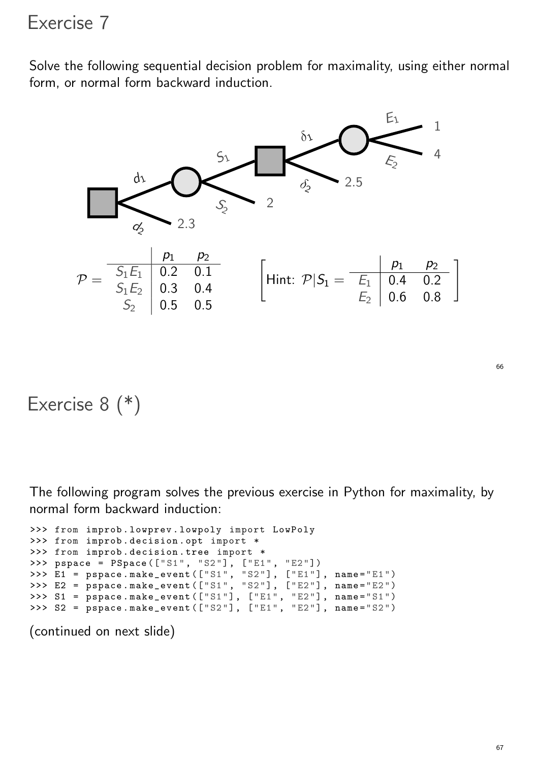### Exercise 7

Solve the following sequential decision problem for maximality, using either normal form, or normal form backward induction.



### Exercise 8 (\*)

The following program solves the previous exercise in Python for maximality, by normal form backward induction:

```
>>> from improb . lowprev . lowpoly import LowPoly
>>> from improb . decision . opt import *
>>> from improb . decision . tree import *
>>> pspace = PSpace (["S1", "S2"], ["E1", "E2"])
>>> E1 = pspace . make_event (["S1", "S2"], ["E1"], name ="E1")
>>> E2 = pspace.make_event(["S1", "S2"], ["E2"], name="E2")
>>> S1 = pspace.make_events(["S1"], ["E1", "E2"], name="S1">>> S2 = pspace.make_events(["S2"], ["E1", "E2"], name="S2")
```
(continued on next slide)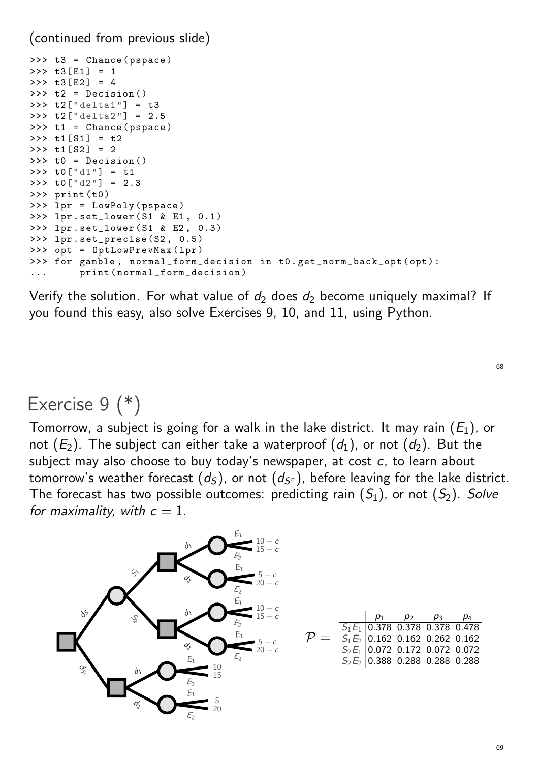(continued from previous slide)

```
>>> t3 = Chance ( pspace )
>>> t3[E1] = 1
>> t3[E2] = 4
\Rightarrow \Rightarrow t2 = Decision ()
>>> t2[" delta1 "] = t3
>>> t2[" delta2 "] = 2.5
\Rightarrow \Rightarrow t1 = Chance (pspace)
>>> t1[S1] = t2
>> t1[S2] = 2
>>> t0 = Decision ()
>>> t0["d1"] = t1
>>> t0["d2"] = 2.3
>>> print (t0)
>>> lpr = LowPoly ( pspace )
>>> lpr . set_lower (S1 & E1 , 0.1 )
>>> lpr . set_lower (S1 & E2 , 0.3 )
>>> lpr . set_precise (S2 , 0.5 )
>>> opt = OptLowPrevMax ( lpr )
>>> for gamble , normal_form_decision in t0 . get_norm_back_opt (opt ):
         print (normal_form_decision)
```
Verify the solution. For what value of  $d_2$  does  $d_2$  become uniquely maximal? If you found this easy, also solve Exercises 9, 10, and 11, using Python.

### Exercise 9 (\*)

Tomorrow, a subject is going for a walk in the lake district. It may rain  $\left( E_{1}\right)$ , or not  $(E_2)$ . The subject can either take a waterproof  $(\emph{d}_1)$ , or not  $(\emph{d}_2)$ . But the subject may also choose to buy today's newspaper, at cost  $c$ , to learn about tomorrow's weather forecast  $(d_S)$ , or not  $(d_{S^c})$ , before leaving for the lake district. The forecast has two possible outcomes: predicting rain  $(S_1)$ , or not  $(S_2)$ .  $Solve$ for maximality, with  $c = 1$ .



69

68